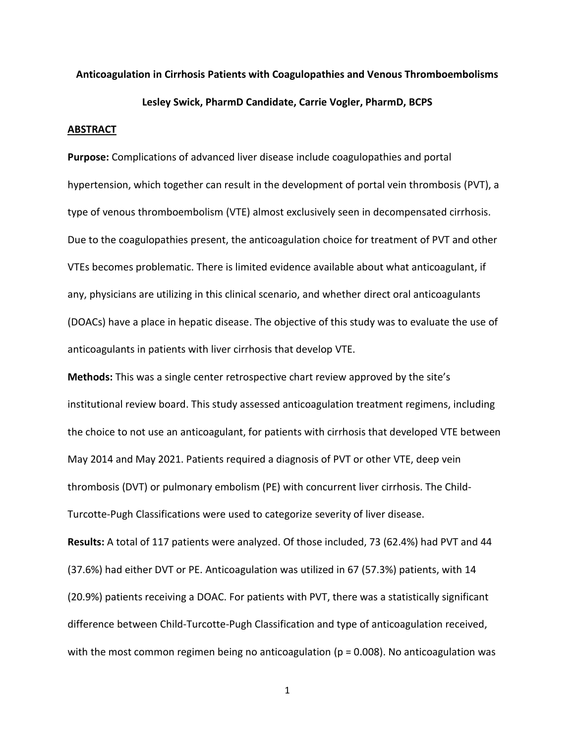## **Anticoagulation in Cirrhosis Patients with Coagulopathies and Venous Thromboembolisms**

## **Lesley Swick, PharmD Candidate, Carrie Vogler, PharmD, BCPS**

## **ABSTRACT**

**Purpose:** Complications of advanced liver disease include coagulopathies and portal hypertension, which together can result in the development of portal vein thrombosis (PVT), a type of venous thromboembolism (VTE) almost exclusively seen in decompensated cirrhosis. Due to the coagulopathies present, the anticoagulation choice for treatment of PVT and other VTEs becomes problematic. There is limited evidence available about what anticoagulant, if any, physicians are utilizing in this clinical scenario, and whether direct oral anticoagulants (DOACs) have a place in hepatic disease. The objective of this study was to evaluate the use of anticoagulants in patients with liver cirrhosis that develop VTE.

**Methods:** This was a single center retrospective chart review approved by the site's institutional review board. This study assessed anticoagulation treatment regimens, including the choice to not use an anticoagulant, for patients with cirrhosis that developed VTE between May 2014 and May 2021. Patients required a diagnosis of PVT or other VTE, deep vein thrombosis (DVT) or pulmonary embolism (PE) with concurrent liver cirrhosis. The Child-Turcotte-Pugh Classifications were used to categorize severity of liver disease.

**Results:** A total of 117 patients were analyzed. Of those included, 73 (62.4%) had PVT and 44 (37.6%) had either DVT or PE. Anticoagulation was utilized in 67 (57.3%) patients, with 14 (20.9%) patients receiving a DOAC. For patients with PVT, there was a statistically significant difference between Child-Turcotte-Pugh Classification and type of anticoagulation received, with the most common regimen being no anticoagulation ( $p = 0.008$ ). No anticoagulation was

1